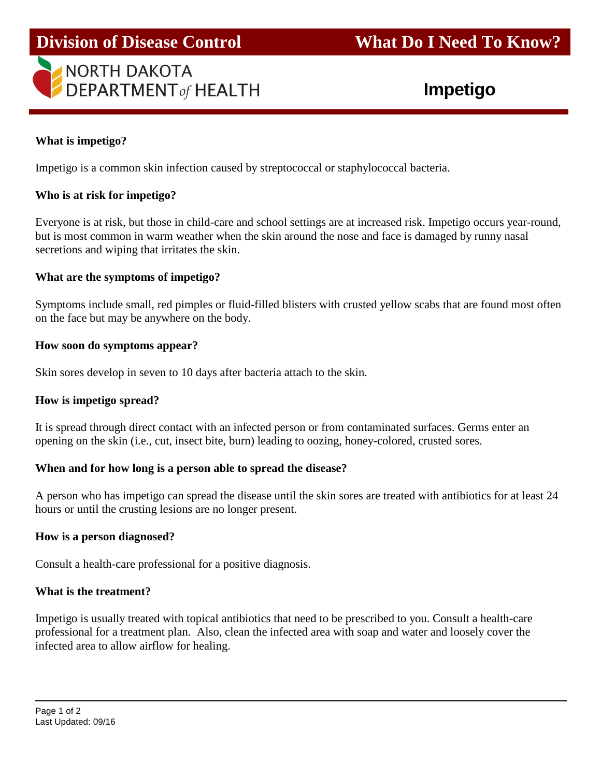

# **Division of Disease Control What Do I Need To Know?**

# **What is impetigo?**

j

Impetigo is a common skin infection caused by streptococcal or staphylococcal bacteria.

# **Who is at risk for impetigo?**

Everyone is at risk, but those in child-care and school settings are at increased risk. Impetigo occurs year-round, but is most common in warm weather when the skin around the nose and face is damaged by runny nasal secretions and wiping that irritates the skin.

# **What are the symptoms of impetigo?**

Symptoms include small, red pimples or fluid-filled blisters with crusted yellow scabs that are found most often on the face but may be anywhere on the body.

### **How soon do symptoms appear?**

Skin sores develop in seven to 10 days after bacteria attach to the skin.

### **How is impetigo spread?**

It is spread through direct contact with an infected person or from contaminated surfaces. Germs enter an opening on the skin (i.e., cut, insect bite, burn) leading to oozing, honey-colored, crusted sores.

### **When and for how long is a person able to spread the disease?**

A person who has impetigo can spread the disease until the skin sores are treated with antibiotics for at least 24 hours or until the crusting lesions are no longer present.

### **How is a person diagnosed?**

Consult a health-care professional for a positive diagnosis.

### **What is the treatment?**

Impetigo is usually treated with topical antibiotics that need to be prescribed to you. Consult a health-care professional for a treatment plan. Also, clean the infected area with soap and water and loosely cover the infected area to allow airflow for healing.